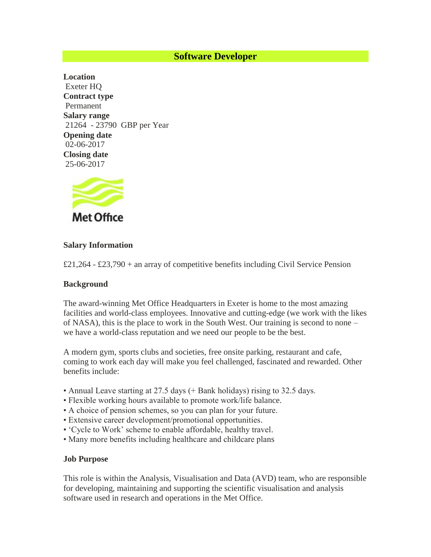## **Software Developer**

**Location** Exeter HQ **Contract type** Permanent **Salary range** 21264 - 23790 GBP per Year **Opening date** 02-06-2017 **Closing date** 25-06-2017



### **Salary Information**

 $£21,264 - £23,790 +$  an array of competitive benefits including Civil Service Pension

#### **Background**

The award-winning Met Office Headquarters in Exeter is home to the most amazing facilities and world-class employees. Innovative and cutting-edge (we work with the likes of NASA), this is the place to work in the South West. Our training is second to none – we have a world-class reputation and we need our people to be the best.

A modern gym, sports clubs and societies, free onsite parking, restaurant and cafe, coming to work each day will make you feel challenged, fascinated and rewarded. Other benefits include:

- Annual Leave starting at 27.5 days (+ Bank holidays) rising to 32.5 days.
- Flexible working hours available to promote work/life balance.
- A choice of pension schemes, so you can plan for your future.
- Extensive career development/promotional opportunities.
- 'Cycle to Work' scheme to enable affordable, healthy travel.
- Many more benefits including healthcare and childcare plans

#### **Job Purpose**

This role is within the Analysis, Visualisation and Data (AVD) team, who are responsible for developing, maintaining and supporting the scientific visualisation and analysis software used in research and operations in the Met Office.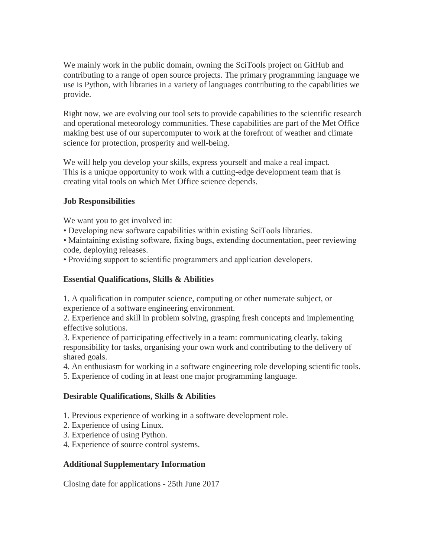We mainly work in the public domain, owning the SciTools project on GitHub and contributing to a range of open source projects. The primary programming language we use is Python, with libraries in a variety of languages contributing to the capabilities we provide.

Right now, we are evolving our tool sets to provide capabilities to the scientific research and operational meteorology communities. These capabilities are part of the Met Office making best use of our supercomputer to work at the forefront of weather and climate science for protection, prosperity and well-being.

We will help you develop your skills, express yourself and make a real impact. This is a unique opportunity to work with a cutting-edge development team that is creating vital tools on which Met Office science depends.

## **Job Responsibilities**

We want you to get involved in:

• Developing new software capabilities within existing SciTools libraries.

• Maintaining existing software, fixing bugs, extending documentation, peer reviewing code, deploying releases.

• Providing support to scientific programmers and application developers.

# **Essential Qualifications, Skills & Abilities**

1. A qualification in computer science, computing or other numerate subject, or experience of a software engineering environment.

2. Experience and skill in problem solving, grasping fresh concepts and implementing effective solutions.

3. Experience of participating effectively in a team: communicating clearly, taking responsibility for tasks, organising your own work and contributing to the delivery of shared goals.

4. An enthusiasm for working in a software engineering role developing scientific tools.

5. Experience of coding in at least one major programming language.

# **Desirable Qualifications, Skills & Abilities**

- 1. Previous experience of working in a software development role.
- 2. Experience of using Linux.
- 3. Experience of using Python.
- 4. Experience of source control systems.

# **Additional Supplementary Information**

Closing date for applications - 25th June 2017